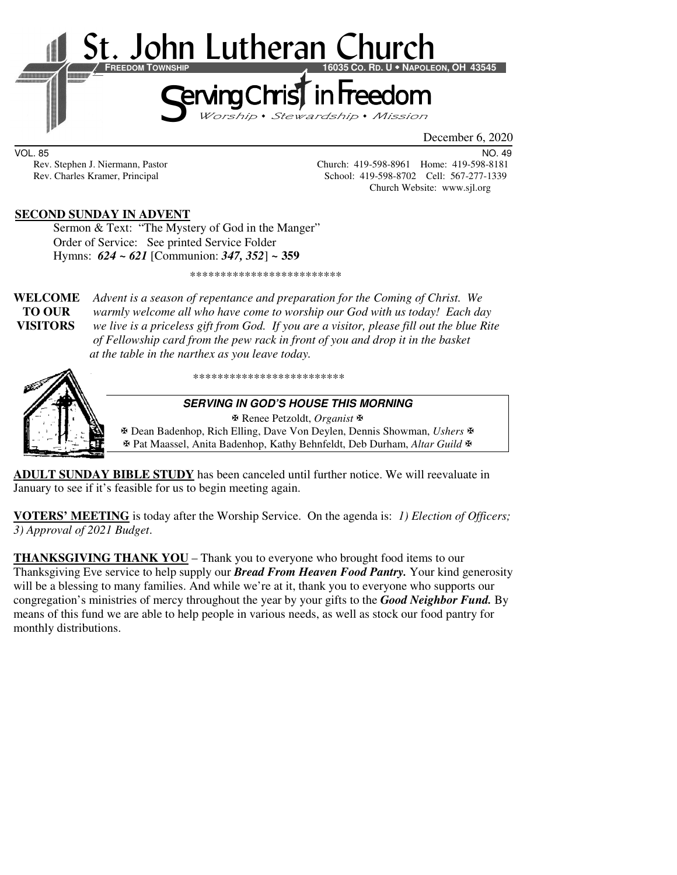

VOL. 85 NO. 49

Rev. Stephen J. Niermann, Pastor Church: 419-598-8961 Home: 419-598-8181 Rev. Charles Kramer, Principal School: 419-598-8702 Cell: 567-277-1339 Church Website: www.sjl.org

### **SECOND SUNDAY IN ADVENT**

Sermon & Text: "The Mystery of God in the Manger" Order of Service: See printed Service Folder Hymns: *624 ~ 621* [Communion: *347, 352*] *~* **359**

\*\*\*\*\*\*\*\*\*\*\*\*\*\*\*\*\*\*\*\*\*\*\*\*\*

**WELCOME** *Advent is a season of repentance and preparation for the Coming of Christ. We* **TO OUR** *warmly welcome all who have come to worship our God with us today! Each day*  **VISITORS** *we live is a priceless gift from God. If you are a visitor, please fill out the blue Rite of Fellowship card from the pew rack in front of you and drop it in the basket at the table in the narthex as you leave today.* 



\*\*\*\*\*\*\*\*\*\*\*\*\*\*\*\*\*\*\*\*\*\*\*\*\*

#### **SERVING IN GOD'S HOUSE THIS MORNING**

Renee Petzoldt, *Organist*

 Dean Badenhop, Rich Elling, Dave Von Deylen, Dennis Showman, *Ushers* Pat Maassel, Anita Badenhop, Kathy Behnfeldt, Deb Durham, *Altar Guild*

**ADULT SUNDAY BIBLE STUDY** has been canceled until further notice. We will reevaluate in January to see if it's feasible for us to begin meeting again.

**VOTERS' MEETING** is today after the Worship Service. On the agenda is: *1) Election of Officers; 3) Approval of 2021 Budget*.

**THANKSGIVING THANK YOU** – Thank you to everyone who brought food items to our Thanksgiving Eve service to help supply our *Bread From Heaven Food Pantry.* Your kind generosity will be a blessing to many families. And while we're at it, thank you to everyone who supports our congregation's ministries of mercy throughout the year by your gifts to the *Good Neighbor Fund.* By means of this fund we are able to help people in various needs, as well as stock our food pantry for monthly distributions.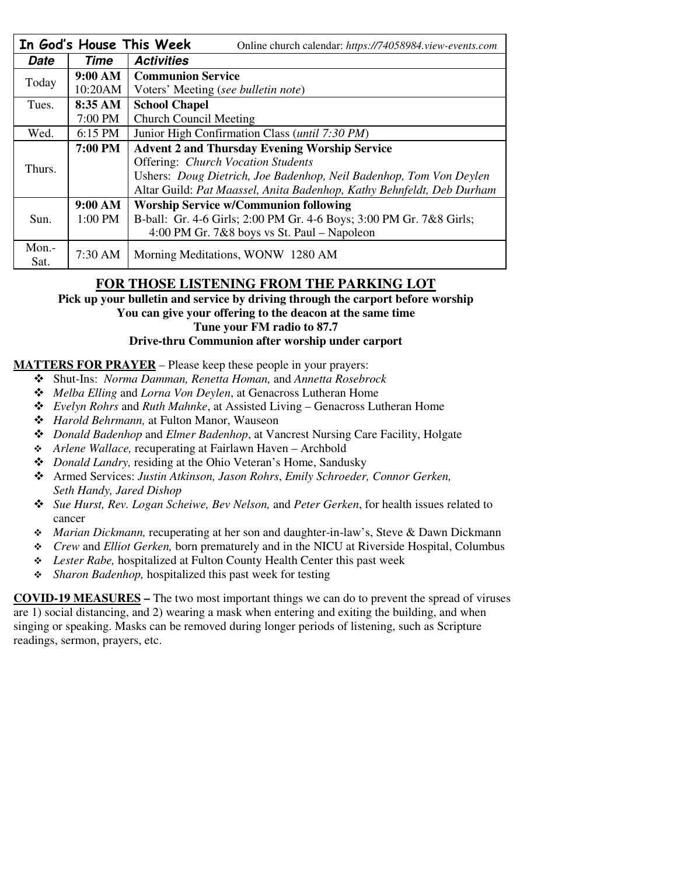|             |         | In God's House This Week<br>Online church calendar: https://74058984.view-events.com |  |  |
|-------------|---------|--------------------------------------------------------------------------------------|--|--|
| <b>Date</b> | Time    | <b>Activities</b>                                                                    |  |  |
| Today       | 9:00 AM | <b>Communion Service</b>                                                             |  |  |
|             | 10:20AM | Voters' Meeting (see bulletin note)                                                  |  |  |
| Tues.       | 8:35 AM | <b>School Chapel</b>                                                                 |  |  |
|             | 7:00 PM | <b>Church Council Meeting</b>                                                        |  |  |
| Wed.        | 6:15 PM | Junior High Confirmation Class ( <i>until 7:30 PM</i> )                              |  |  |
| Thurs.      | 7:00 PM | <b>Advent 2 and Thursday Evening Worship Service</b>                                 |  |  |
|             |         | <b>Offering: Church Vocation Students</b>                                            |  |  |
|             |         | Ushers: Doug Dietrich, Joe Badenhop, Neil Badenhop, Tom Von Deylen                   |  |  |
|             |         | Altar Guild: Pat Maassel, Anita Badenhop, Kathy Behnfeldt, Deb Durham                |  |  |
| Sun.        | 9:00 AM | <b>Worship Service w/Communion following</b>                                         |  |  |
|             | 1:00 PM | B-ball: Gr. 4-6 Girls; 2:00 PM Gr. 4-6 Boys; 3:00 PM Gr. 7&8 Girls;                  |  |  |
|             |         | 4:00 PM Gr. 7&8 boys vs St. Paul – Napoleon                                          |  |  |
| Mon.-       | 7:30 AM | Morning Meditations, WONW 1280 AM                                                    |  |  |
| Sat.        |         |                                                                                      |  |  |

# **FOR THOSE LISTENING FROM THE PARKING LOT**

**Pick up your bulletin and service by driving through the carport before worship You can give your offering to the deacon at the same time Tune your FM radio to 87.7 Drive-thru Communion after worship under carport** 

## **MATTERS FOR PRAYER** – Please keep these people in your prayers:

- Shut-Ins: *Norma Damman, Renetta Homan,* and *Annetta Rosebrock*
- *Melba Elling* and *Lorna Von Deylen*, at Genacross Lutheran Home
- *Evelyn Rohrs* and *Ruth Mahnke*, at Assisted Living Genacross Lutheran Home
- *Harold Behrmann,* at Fulton Manor, Wauseon
- *Donald Badenhop* and *Elmer Badenhop*, at Vancrest Nursing Care Facility, Holgate
- *Arlene Wallace,* recuperating at Fairlawn Haven Archbold
- *Donald Landry,* residing at the Ohio Veteran's Home, Sandusky
- Armed Services: *Justin Atkinson, Jason Rohrs*, *Emily Schroeder, Connor Gerken, Seth Handy, Jared Dishop*
- *Sue Hurst, Rev. Logan Scheiwe, Bev Nelson,* and *Peter Gerken*, for health issues related to cancer
- *Marian Dickmann,* recuperating at her son and daughter-in-law's, Steve & Dawn Dickmann
- *Crew* and *Elliot Gerken,* born prematurely and in the NICU at Riverside Hospital, Columbus
- *Lester Rabe,* hospitalized at Fulton County Health Center this past week
- *Sharon Badenhop,* hospitalized this past week for testing

**COVID-19 MEASURES –** The two most important things we can do to prevent the spread of viruses are 1) social distancing, and 2) wearing a mask when entering and exiting the building, and when singing or speaking. Masks can be removed during longer periods of listening, such as Scripture readings, sermon, prayers, etc.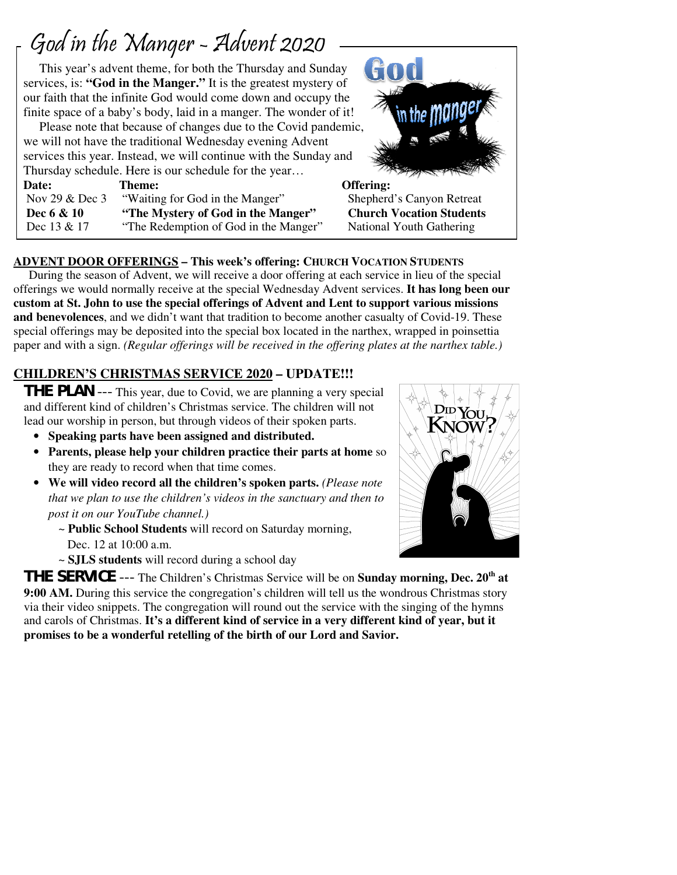# God in the Manger - Advent 2020

 $\overline{1}$ 

 This year's advent theme, for both the Thursday and Sunday services, is: **"God in the Manger."** It is the greatest mystery of our faith that the infinite God would come down and occupy the finite space of a baby's body, laid in a manger. The wonder of it!

 Please note that because of changes due to the Covid pandemic, we will not have the traditional Wednesday evening Advent services this year. Instead, we will continue with the Sunday and Thursday schedule. Here is our schedule for the year…

Date: Theme: **Theme:** Offering: Nov 29 & Dec 3 "Waiting for God in the Manger" Shepherd's Canyon Retreat **Dec 6 & 10 "The Mystery of God in the Manger" Church Vocation Students**  Dec 13 & 17 "The Redemption of God in the Manger" National Youth Gathering

# GOO

# **ADVENT DOOR OFFERINGS – This week's offering: CHURCH VOCATION STUDENTS**

 During the season of Advent, we will receive a door offering at each service in lieu of the special offerings we would normally receive at the special Wednesday Advent services. **It has long been our custom at St. John to use the special offerings of Advent and Lent to support various missions and benevolences**, and we didn't want that tradition to become another casualty of Covid-19. These special offerings may be deposited into the special box located in the narthex, wrapped in poinsettia paper and with a sign. *(Regular offerings will be received in the offering plates at the narthex table.)* 

# **CHILDREN'S CHRISTMAS SERVICE 2020 – UPDATE!!!**

**THE PLAN** --- This year, due to Covid, we are planning a very special and different kind of children's Christmas service. The children will not lead our worship in person, but through videos of their spoken parts.

- **Speaking parts have been assigned and distributed.**
- **Parents, please help your children practice their parts at home** so they are ready to record when that time comes.
- **We will video record all the children's spoken parts.** *(Please note that we plan to use the children's videos in the sanctuary and then to post it on our YouTube channel.)*
	- ~ **Public School Students** will record on Saturday morning, Dec. 12 at 10:00 a.m.
	- ~ **SJLS students** will record during a school day



**THE SERVICE** --- The Children's Christmas Service will be on **Sunday morning, Dec. 20th at 9:00 AM.** During this service the congregation's children will tell us the wondrous Christmas story via their video snippets. The congregation will round out the service with the singing of the hymns and carols of Christmas. **It's a different kind of service in a very different kind of year, but it promises to be a wonderful retelling of the birth of our Lord and Savior.**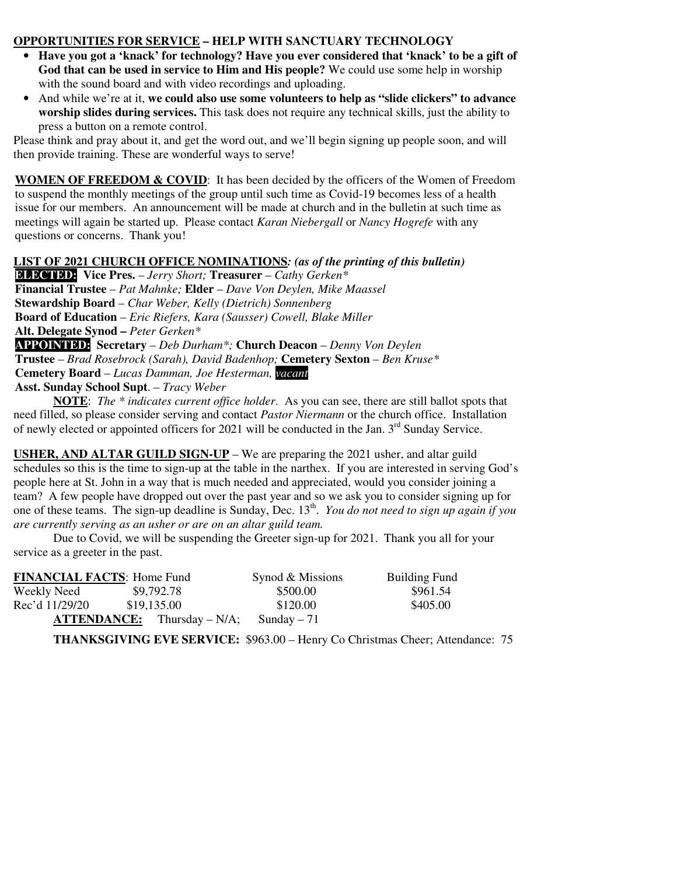#### **OPPORTUNITIES FOR SERVICE – HELP WITH SANCTUARY TECHNOLOGY**

- **Have you got a 'knack' for technology? Have you ever considered that 'knack' to be a gift of God that can be used in service to Him and His people?** We could use some help in worship with the sound board and with video recordings and uploading.
- And while we're at it, **we could also use some volunteers to help as "slide clickers" to advance worship slides during services.** This task does not require any technical skills, just the ability to press a button on a remote control.

Please think and pray about it, and get the word out, and we'll begin signing up people soon, and will then provide training. These are wonderful ways to serve!

**WOMEN OF FREEDOM & COVID:** It has been decided by the officers of the Women of Freedom to suspend the monthly meetings of the group until such time as Covid-19 becomes less of a health issue for our members. An announcement will be made at church and in the bulletin at such time as meetings will again be started up. Please contact *Karan Niebergall* or *Nancy Hogrefe* with any questions or concerns. Thank you!

### **LIST OF 2021 CHURCH OFFICE NOMINATIONS***: (as of the printing of this bulletin)*

**ELECTED: Vice Pres.** – *Jerry Short;* **Treasurer** – *Cathy Gerken\** **Financial Trustee** – *Pat Mahnke;* **Elder** – *Dave Von Deylen, Mike Maassel* **Stewardship Board** – *Char Weber, Kelly (Dietrich) Sonnenberg*  **Board of Education** – *Eric Riefers, Kara (Sausser) Cowell, Blake Miller*  **Alt. Delegate Synod –** *Peter Gerken\** **APPOINTED: Secretary** – *Deb Durham\*;* **Church Deacon** – *Denny Von Deylen* **Trustee** – *Brad Rosebrock (Sarah), David Badenhop;* **Cemetery Sexton** – *Ben Kruse\** **Cemetery Board** – *Lucas Damman, Joe Hesterman, vacant*  **Asst. Sunday School Supt**. – *Tracy Weber*

**NOTE**: *The \* indicates current office holder*. As you can see, there are still ballot spots that need filled, so please consider serving and contact *Pastor Niermann* or the church office. Installation of newly elected or appointed officers for 2021 will be conducted in the Jan. 3<sup>rd</sup> Sunday Service.

**USHER, AND ALTAR GUILD SIGN-UP** – We are preparing the 2021 usher, and altar guild schedules so this is the time to sign-up at the table in the narthex. If you are interested in serving God's people here at St. John in a way that is much needed and appreciated, would you consider joining a team? A few people have dropped out over the past year and so we ask you to consider signing up for one of these teams. The sign-up deadline is Sunday, Dec. 13<sup>th</sup>. *You do not need to sign up again if you are currently serving as an usher or are on an altar guild team.* 

 Due to Covid, we will be suspending the Greeter sign-up for 2021. Thank you all for your service as a greeter in the past.

| <b>FINANCIAL FACTS: Home Fund</b> |                                      | Synod & Missions | <b>Building Fund</b> |
|-----------------------------------|--------------------------------------|------------------|----------------------|
| Weekly Need                       | \$9,792.78                           | \$500.00         | \$961.54             |
| Rec'd 11/29/20                    | \$19,135.00                          | \$120.00         | \$405.00             |
|                                   | $\text{ATTENDANCE:}$ Thursday – N/A; | Sunday $-71$     |                      |

**THANKSGIVING EVE SERVICE:** \$963.00 – Henry Co Christmas Cheer; Attendance: 75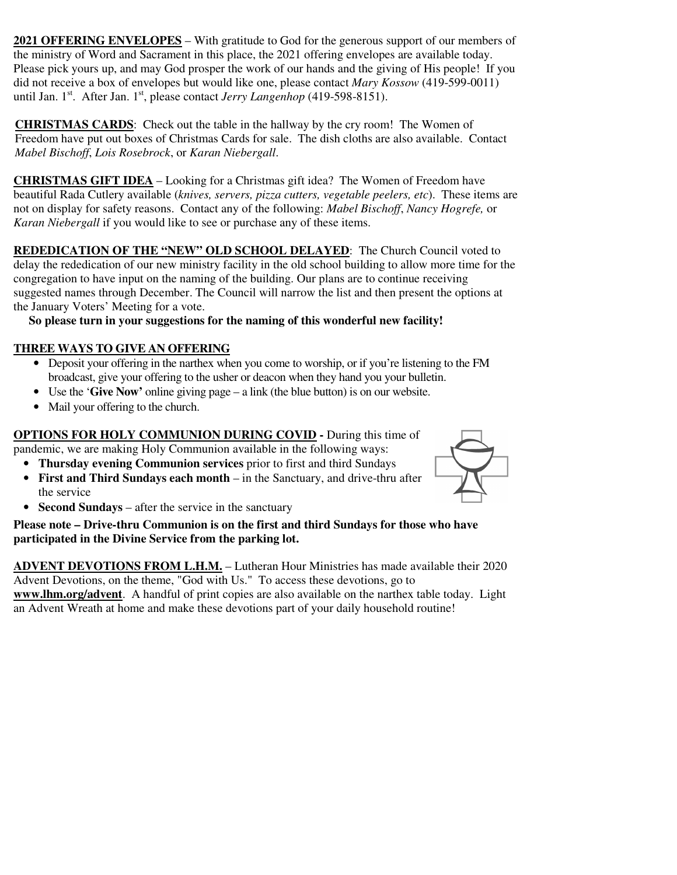**2021 OFFERING ENVELOPES** – With gratitude to God for the generous support of our members of the ministry of Word and Sacrament in this place, the 2021 offering envelopes are available today. Please pick yours up, and may God prosper the work of our hands and the giving of His people! If you did not receive a box of envelopes but would like one, please contact *Mary Kossow* (419-599-0011) until Jan. 1<sup>st</sup>. After Jan. 1<sup>st</sup>, please contact *Jerry Langenhop* (419-598-8151).

**CHRISTMAS CARDS**: Check out the table in the hallway by the cry room! The Women of Freedom have put out boxes of Christmas Cards for sale. The dish cloths are also available. Contact *Mabel Bischoff*, *Lois Rosebrock*, or *Karan Niebergall*.

**CHRISTMAS GIFT IDEA** – Looking for a Christmas gift idea? The Women of Freedom have beautiful Rada Cutlery available (*knives, servers, pizza cutters, vegetable peelers, etc*). These items are not on display for safety reasons. Contact any of the following: *Mabel Bischoff*, *Nancy Hogrefe,* or *Karan Niebergall* if you would like to see or purchase any of these items.

**REDEDICATION OF THE "NEW" OLD SCHOOL DELAYED**: The Church Council voted to delay the rededication of our new ministry facility in the old school building to allow more time for the congregation to have input on the naming of the building. Our plans are to continue receiving suggested names through December. The Council will narrow the list and then present the options at the January Voters' Meeting for a vote.

 **So please turn in your suggestions for the naming of this wonderful new facility!** 

# **THREE WAYS TO GIVE AN OFFERING**

- Deposit your offering in the narthex when you come to worship, or if you're listening to the FM broadcast, give your offering to the usher or deacon when they hand you your bulletin.
- Use the '**Give Now'** online giving page a link (the blue button) is on our website.
- Mail your offering to the church.

**OPTIONS FOR HOLY COMMUNION DURING COVID -** During this time of pandemic, we are making Holy Communion available in the following ways:

- **Thursday evening Communion services** prior to first and third Sundays
- **First and Third Sundays each month** in the Sanctuary, and drive-thru after the service



• **Second Sundays** – after the service in the sanctuary

**Please note – Drive-thru Communion is on the first and third Sundays for those who have participated in the Divine Service from the parking lot.** 

**ADVENT DEVOTIONS FROM L.H.M.** – Lutheran Hour Ministries has made available their 2020 Advent Devotions, on the theme, "God with Us." To access these devotions, go to **www.lhm.org/advent**. A handful of print copies are also available on the narthex table today. Light an Advent Wreath at home and make these devotions part of your daily household routine!